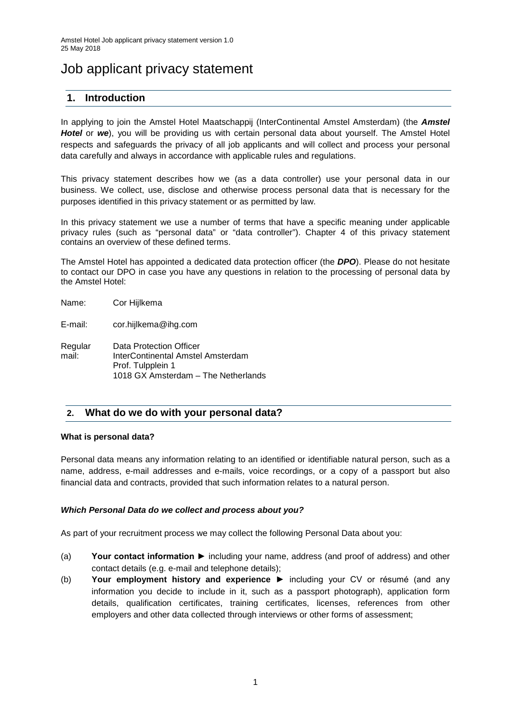# Job applicant privacy statement

# **1. Introduction**

In applying to join the Amstel Hotel Maatschappij (InterContinental Amstel Amsterdam) (the *Amstel Hotel* or *we*), you will be providing us with certain personal data about yourself. The Amstel Hotel respects and safeguards the privacy of all job applicants and will collect and process your personal data carefully and always in accordance with applicable rules and regulations.

This privacy statement describes how we (as a data controller) use your personal data in our business. We collect, use, disclose and otherwise process personal data that is necessary for the purposes identified in this privacy statement or as permitted by law.

In this privacy statement we use a number of terms that have a specific meaning under applicable privacy rules (such as "personal data" or "data controller"). Chapter 4 of this privacy statement contains an overview of these defined terms.

The Amstel Hotel has appointed a dedicated data protection officer (the *DPO*). Please do not hesitate to contact our DPO in case you have any questions in relation to the processing of personal data by the Amstel Hotel:

| Name:            | Cor Hijlkema                                                                                                             |
|------------------|--------------------------------------------------------------------------------------------------------------------------|
| E-mail:          | cor.hijlkema@ihg.com                                                                                                     |
| Regular<br>mail: | Data Protection Officer<br>InterContinental Amstel Amsterdam<br>Prof. Tulpplein 1<br>1018 GX Amsterdam - The Netherlands |

# **2. What do we do with your personal data?**

#### **What is personal data?**

Personal data means any information relating to an identified or identifiable natural person, such as a name, address, e-mail addresses and e-mails, voice recordings, or a copy of a passport but also financial data and contracts, provided that such information relates to a natural person.

#### *Which Personal Data do we collect and process about you?*

As part of your recruitment process we may collect the following Personal Data about you:

- (a) **Your contact information ►** including your name, address (and proof of address) and other contact details (e.g. e-mail and telephone details);
- (b) **Your employment history and experience** ► including your CV or résumé (and any information you decide to include in it, such as a passport photograph), application form details, qualification certificates, training certificates, licenses, references from other employers and other data collected through interviews or other forms of assessment;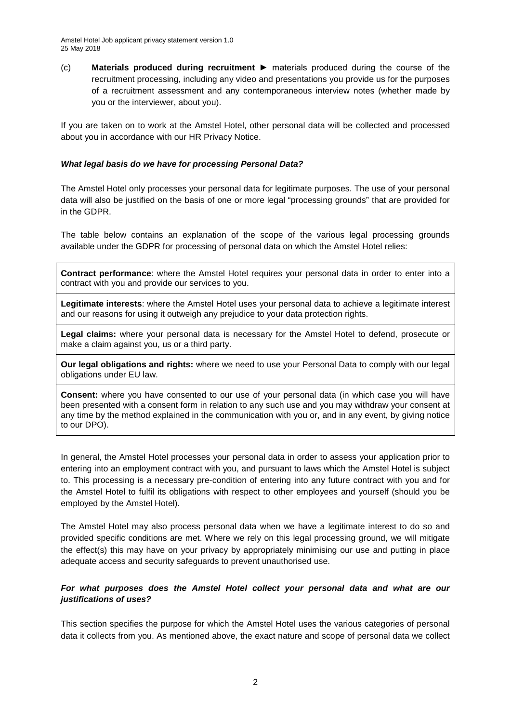(c) **Materials produced during recruitment** ► materials produced during the course of the recruitment processing, including any video and presentations you provide us for the purposes of a recruitment assessment and any contemporaneous interview notes (whether made by you or the interviewer, about you).

If you are taken on to work at the Amstel Hotel, other personal data will be collected and processed about you in accordance with our HR Privacy Notice.

#### *What legal basis do we have for processing Personal Data?*

The Amstel Hotel only processes your personal data for legitimate purposes. The use of your personal data will also be justified on the basis of one or more legal "processing grounds" that are provided for in the GDPR.

The table below contains an explanation of the scope of the various legal processing grounds available under the GDPR for processing of personal data on which the Amstel Hotel relies:

**Contract performance**: where the Amstel Hotel requires your personal data in order to enter into a contract with you and provide our services to you.

**Legitimate interests**: where the Amstel Hotel uses your personal data to achieve a legitimate interest and our reasons for using it outweigh any prejudice to your data protection rights.

**Legal claims:** where your personal data is necessary for the Amstel Hotel to defend, prosecute or make a claim against you, us or a third party.

**Our legal obligations and rights:** where we need to use your Personal Data to comply with our legal obligations under EU law.

**Consent:** where you have consented to our use of your personal data (in which case you will have been presented with a consent form in relation to any such use and you may withdraw your consent at any time by the method explained in the communication with you or, and in any event, by giving notice to our DPO).

In general, the Amstel Hotel processes your personal data in order to assess your application prior to entering into an employment contract with you, and pursuant to laws which the Amstel Hotel is subject to. This processing is a necessary pre-condition of entering into any future contract with you and for the Amstel Hotel to fulfil its obligations with respect to other employees and yourself (should you be employed by the Amstel Hotel).

The Amstel Hotel may also process personal data when we have a legitimate interest to do so and provided specific conditions are met. Where we rely on this legal processing ground, we will mitigate the effect(s) this may have on your privacy by appropriately minimising our use and putting in place adequate access and security safeguards to prevent unauthorised use.

### *For what purposes does the Amstel Hotel collect your personal data and what are our justifications of uses?*

This section specifies the purpose for which the Amstel Hotel uses the various categories of personal data it collects from you. As mentioned above, the exact nature and scope of personal data we collect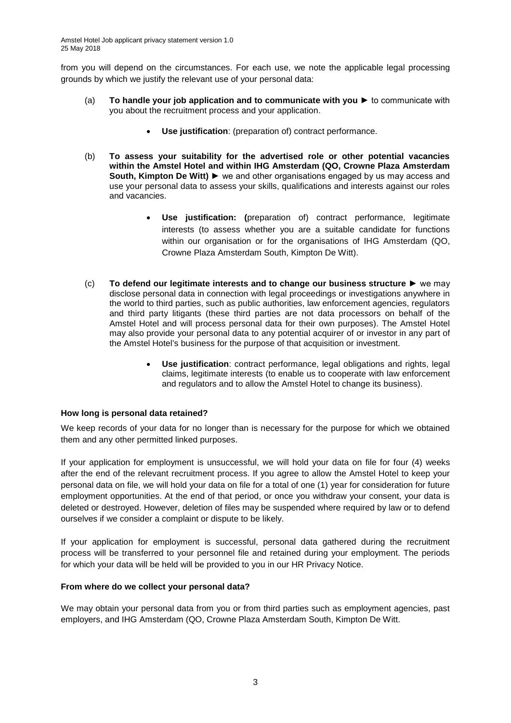from you will depend on the circumstances. For each use, we note the applicable legal processing grounds by which we justify the relevant use of your personal data:

- (a) **To handle your job application and to communicate with you** ► to communicate with you about the recruitment process and your application.
	- **Use justification**: (preparation of) contract performance.
- (b) **To assess your suitability for the advertised role or other potential vacancies within the Amstel Hotel and within IHG Amsterdam (QO, Crowne Plaza Amsterdam South, Kimpton De Witt)** ► we and other organisations engaged by us may access and use your personal data to assess your skills, qualifications and interests against our roles and vacancies.
	- **Use justification: (**preparation of) contract performance, legitimate interests (to assess whether you are a suitable candidate for functions within our organisation or for the organisations of IHG Amsterdam (QO, Crowne Plaza Amsterdam South, Kimpton De Witt).
- (c) **To defend our legitimate interests and to change our business structure** ► we may disclose personal data in connection with legal proceedings or investigations anywhere in the world to third parties, such as public authorities, law enforcement agencies, regulators and third party litigants (these third parties are not data processors on behalf of the Amstel Hotel and will process personal data for their own purposes). The Amstel Hotel may also provide your personal data to any potential acquirer of or investor in any part of the Amstel Hotel's business for the purpose of that acquisition or investment.
	- **Use justification**: contract performance, legal obligations and rights, legal claims, legitimate interests (to enable us to cooperate with law enforcement and regulators and to allow the Amstel Hotel to change its business).

#### **How long is personal data retained?**

We keep records of your data for no longer than is necessary for the purpose for which we obtained them and any other permitted linked purposes.

If your application for employment is unsuccessful, we will hold your data on file for four (4) weeks after the end of the relevant recruitment process. If you agree to allow the Amstel Hotel to keep your personal data on file, we will hold your data on file for a total of one (1) year for consideration for future employment opportunities. At the end of that period, or once you withdraw your consent, your data is deleted or destroyed. However, deletion of files may be suspended where required by law or to defend ourselves if we consider a complaint or dispute to be likely.

If your application for employment is successful, personal data gathered during the recruitment process will be transferred to your personnel file and retained during your employment. The periods for which your data will be held will be provided to you in our HR Privacy Notice.

#### **From where do we collect your personal data?**

We may obtain your personal data from you or from third parties such as employment agencies, past employers, and IHG Amsterdam (QO, Crowne Plaza Amsterdam South, Kimpton De Witt.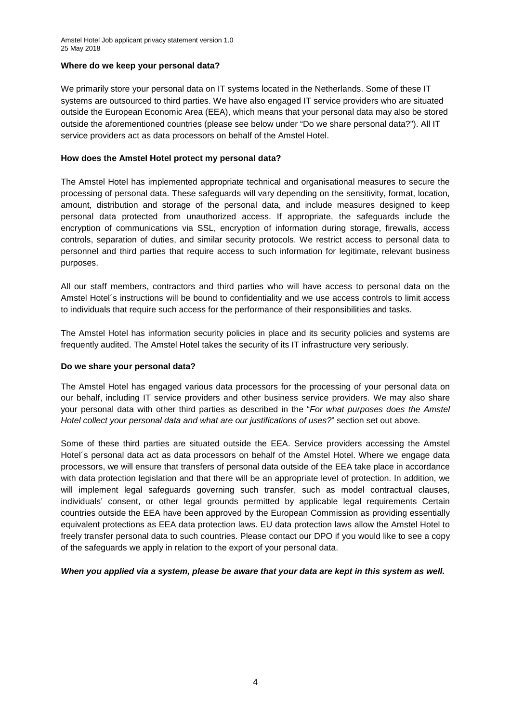#### **Where do we keep your personal data?**

We primarily store your personal data on IT systems located in the Netherlands. Some of these IT systems are outsourced to third parties. We have also engaged IT service providers who are situated outside the European Economic Area (EEA), which means that your personal data may also be stored outside the aforementioned countries (please see below under "Do we share personal data?"). All IT service providers act as data processors on behalf of the Amstel Hotel.

#### **How does the Amstel Hotel protect my personal data?**

The Amstel Hotel has implemented appropriate technical and organisational measures to secure the processing of personal data. These safeguards will vary depending on the sensitivity, format, location, amount, distribution and storage of the personal data, and include measures designed to keep personal data protected from unauthorized access. If appropriate, the safeguards include the encryption of communications via SSL, encryption of information during storage, firewalls, access controls, separation of duties, and similar security protocols. We restrict access to personal data to personnel and third parties that require access to such information for legitimate, relevant business purposes.

All our staff members, contractors and third parties who will have access to personal data on the Amstel Hotel´s instructions will be bound to confidentiality and we use access controls to limit access to individuals that require such access for the performance of their responsibilities and tasks.

The Amstel Hotel has information security policies in place and its security policies and systems are frequently audited. The Amstel Hotel takes the security of its IT infrastructure very seriously.

#### **Do we share your personal data?**

The Amstel Hotel has engaged various data processors for the processing of your personal data on our behalf, including IT service providers and other business service providers. We may also share your personal data with other third parties as described in the "*For what purposes does the Amstel Hotel collect your personal data and what are our justifications of uses?*" section set out above.

Some of these third parties are situated outside the EEA. Service providers accessing the Amstel Hotel´s personal data act as data processors on behalf of the Amstel Hotel. Where we engage data processors, we will ensure that transfers of personal data outside of the EEA take place in accordance with data protection legislation and that there will be an appropriate level of protection. In addition, we will implement legal safeguards governing such transfer, such as model contractual clauses, individuals' consent, or other legal grounds permitted by applicable legal requirements Certain countries outside the EEA have been approved by the European Commission as providing essentially equivalent protections as EEA data protection laws. EU data protection laws allow the Amstel Hotel to freely transfer personal data to such countries. Please contact our DPO if you would like to see a copy of the safeguards we apply in relation to the export of your personal data.

*When you applied via a system, please be aware that your data are kept in this system as well.*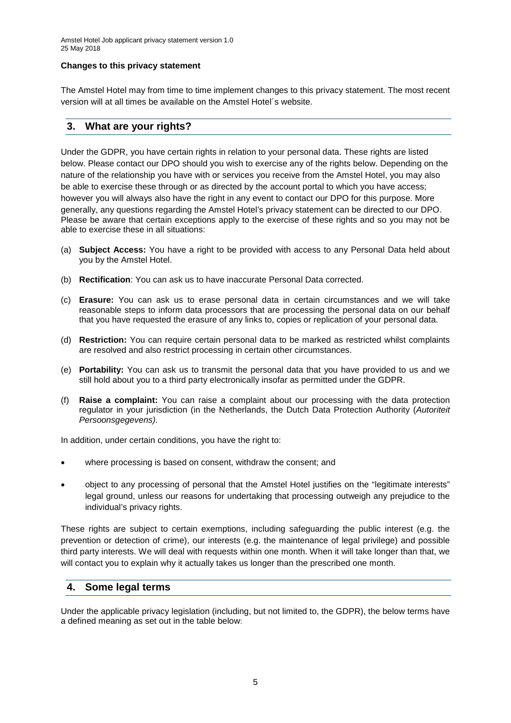#### **Changes to this privacy statement**

The Amstel Hotel may from time to time implement changes to this privacy statement. The most recent version will at all times be available on the Amstel Hotel´s website.

## **3. What are your rights?**

Under the GDPR, you have certain rights in relation to your personal data. These rights are listed below. Please contact our DPO should you wish to exercise any of the rights below. Depending on the nature of the relationship you have with or services you receive from the Amstel Hotel, you may also be able to exercise these through or as directed by the account portal to which you have access; however you will always also have the right in any event to contact our DPO for this purpose. More generally, any questions regarding the Amstel Hotel's privacy statement can be directed to our DPO. Please be aware that certain exceptions apply to the exercise of these rights and so you may not be able to exercise these in all situations:

- (a) **Subject Access:** You have a right to be provided with access to any Personal Data held about you by the Amstel Hotel.
- (b) **Rectification**: You can ask us to have inaccurate Personal Data corrected.
- (c) **Erasure:** You can ask us to erase personal data in certain circumstances and we will take reasonable steps to inform data processors that are processing the personal data on our behalf that you have requested the erasure of any links to, copies or replication of your personal data.
- (d) **Restriction:** You can require certain personal data to be marked as restricted whilst complaints are resolved and also restrict processing in certain other circumstances.
- (e) **Portability:** You can ask us to transmit the personal data that you have provided to us and we still hold about you to a third party electronically insofar as permitted under the GDPR.
- (f) **Raise a complaint:** You can raise a complaint about our processing with the data protection regulator in your jurisdiction (in the Netherlands, the Dutch Data Protection Authority (*Autoriteit Persoonsgegevens)*.

In addition, under certain conditions, you have the right to:

- where processing is based on consent, withdraw the consent; and
- object to any processing of personal that the Amstel Hotel justifies on the "legitimate interests" legal ground, unless our reasons for undertaking that processing outweigh any prejudice to the individual's privacy rights.

These rights are subject to certain exemptions, including safeguarding the public interest (e.g. the prevention or detection of crime), our interests (e.g. the maintenance of legal privilege) and possible third party interests. We will deal with requests within one month. When it will take longer than that, we will contact you to explain why it actually takes us longer than the prescribed one month.

## **4. Some legal terms**

Under the applicable privacy legislation (including, but not limited to, the GDPR), the below terms have a defined meaning as set out in the table below: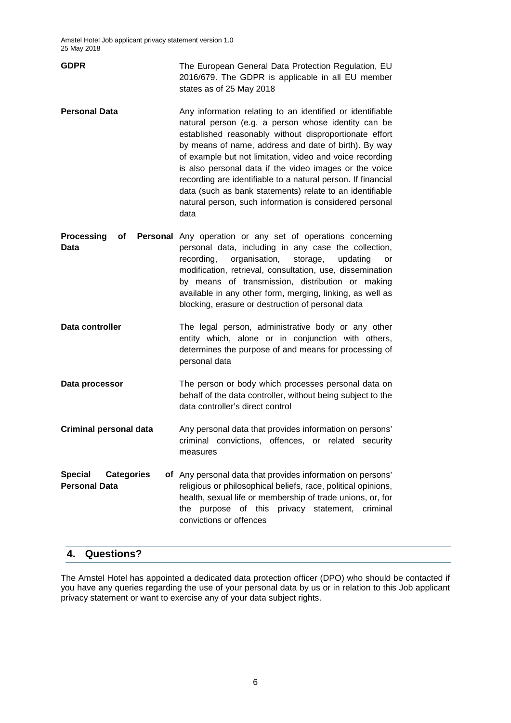| <b>GDPR</b> | The European General Data Protection Regulation, EU |
|-------------|-----------------------------------------------------|
|             | 2016/679. The GDPR is applicable in all EU member   |
|             | states as of 25 May 2018                            |

- **Personal Data Any information relating to an identified or identifiable** natural person (e.g. a person whose identity can be established reasonably without disproportionate effort by means of name, address and date of birth). By way of example but not limitation, video and voice recording is also personal data if the video images or the voice recording are identifiable to a natural person. If financial data (such as bank statements) relate to an identifiable natural person, such information is considered personal data
- **Processing** of **Data** Personal Any operation or any set of operations concerning personal data, including in any case the collection, recording, organisation, storage, updating or modification, retrieval, consultation, use, dissemination by means of transmission, distribution or making available in any other form, merging, linking, as well as blocking, erasure or destruction of personal data
- **Data controller** The legal person, administrative body or any other entity which, alone or in conjunction with others, determines the purpose of and means for processing of personal data
- **Data processor The person or body which processes personal data on** behalf of the data controller, without being subject to the data controller's direct control
- **Criminal personal data** Any personal data that provides information on persons' criminal convictions, offences, or related security measures
- **Special Categories Personal Data** of Any personal data that provides information on persons' religious or philosophical beliefs, race, political opinions, health, sexual life or membership of trade unions, or, for the purpose of this privacy statement, criminal convictions or offences

## **4. Questions?**

The Amstel Hotel has appointed a dedicated data protection officer (DPO) who should be contacted if you have any queries regarding the use of your personal data by us or in relation to this Job applicant privacy statement or want to exercise any of your data subject rights.